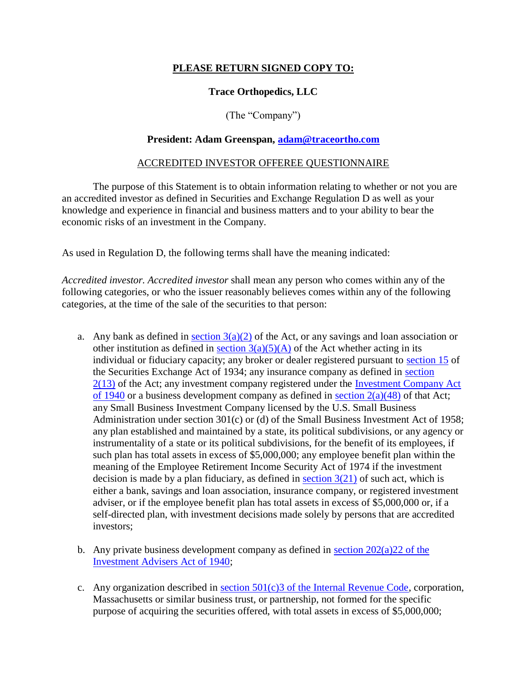# **PLEASE RETURN SIGNED COPY TO:**

## **Trace Orthopedics, LLC**

(The "Company")

#### **President: Adam Greenspan, [adam@traceortho.com](mailto:adam@traceortho.com)**

#### ACCREDITED INVESTOR OFFEREE QUESTIONNAIRE

The purpose of this Statement is to obtain information relating to whether or not you are an accredited investor as defined in Securities and Exchange Regulation D as well as your knowledge and experience in financial and business matters and to your ability to bear the economic risks of an investment in the Company.

As used in Regulation D, the following terms shall have the meaning indicated:

*Accredited investor. Accredited investor* shall mean any person who comes within any of the following categories, or who the issuer reasonably believes comes within any of the following categories, at the time of the sale of the securities to that person:

- a. Any bank as defined in section  $3(a)(2)$  of the Act, or any savings and loan association or other institution as defined in section  $3(a)(5)(A)$  of the Act whether acting in its individual or fiduciary capacity; any broker or dealer registered pursuant to section 15 of the Securities Exchange Act of 1934; any insurance company as defined in section 2(13) of the Act; any investment company registered under the Investment Company Act of 1940 or a business development company as defined in section  $2(a)(48)$  of that Act; any Small Business Investment Company licensed by the U.S. Small Business Administration under section 301(c) or (d) of the Small Business Investment Act of 1958; any plan established and maintained by a state, its political subdivisions, or any agency or instrumentality of a state or its political subdivisions, for the benefit of its employees, if such plan has total assets in excess of \$5,000,000; any employee benefit plan within the meaning of the Employee Retirement Income Security Act of 1974 if the investment decision is made by a plan fiduciary, as defined in section  $3(21)$  of such act, which is either a bank, savings and loan association, insurance company, or registered investment adviser, or if the employee benefit plan has total assets in excess of \$5,000,000 or, if a self-directed plan, with investment decisions made solely by persons that are accredited investors;
- b. Any private business development company as defined in section  $202(a)22$  of the Investment Advisers Act of 1940;
- c. Any organization described in section  $501(c)3$  of the Internal Revenue Code, corporation, Massachusetts or similar business trust, or partnership, not formed for the specific purpose of acquiring the securities offered, with total assets in excess of \$5,000,000;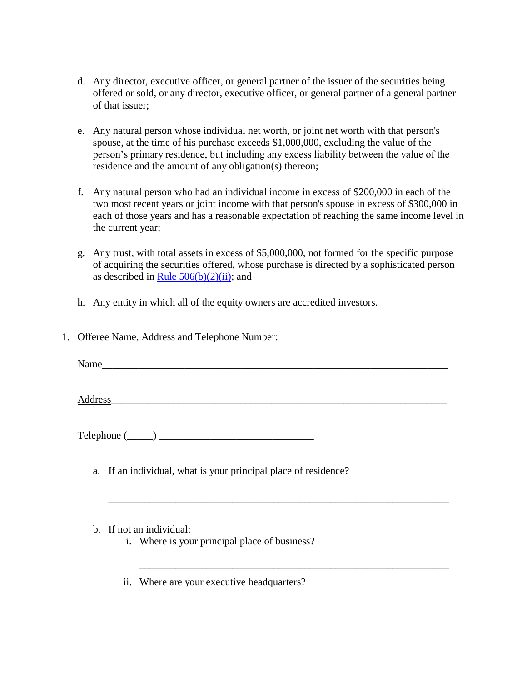- d. Any director, executive officer, or general partner of the issuer of the securities being offered or sold, or any director, executive officer, or general partner of a general partner of that issuer;
- e. Any natural person whose individual net worth, or joint net worth with that person's spouse, at the time of his purchase exceeds \$1,000,000, excluding the value of the person's primary residence, but including any excess liability between the value of the residence and the amount of any obligation(s) thereon;
- f. Any natural person who had an individual income in excess of \$200,000 in each of the two most recent years or joint income with that person's spouse in excess of \$300,000 in each of those years and has a reasonable expectation of reaching the same income level in the current year;
- g. Any trust, with total assets in excess of \$5,000,000, not formed for the specific purpose of acquiring the securities offered, whose purchase is directed by a sophisticated person as described in Rule  $506(b)(2)(ii)$ ; and
- h. Any entity in which all of the equity owners are accredited investors.
- 1. Offeree Name, Address and Telephone Number:

Name\_\_\_\_\_\_\_\_\_\_\_\_\_\_\_\_\_\_\_\_\_\_\_\_\_\_\_\_\_\_\_\_\_\_\_\_\_\_\_\_\_\_\_\_\_\_\_\_\_\_\_\_\_\_\_\_\_\_\_\_\_\_\_\_\_\_\_

Address

\_\_\_\_\_\_\_\_\_\_\_\_\_\_\_\_\_\_\_\_\_\_\_\_\_\_\_\_\_\_\_\_\_\_\_\_\_\_\_\_\_\_\_\_\_\_\_\_\_\_\_\_\_\_\_\_\_\_\_\_\_\_\_\_\_\_

\_\_\_\_\_\_\_\_\_\_\_\_\_\_\_\_\_\_\_\_\_\_\_\_\_\_\_\_\_\_\_\_\_\_\_\_\_\_\_\_\_\_\_\_\_\_\_\_\_\_\_\_\_\_\_\_\_\_\_\_

\_\_\_\_\_\_\_\_\_\_\_\_\_\_\_\_\_\_\_\_\_\_\_\_\_\_\_\_\_\_\_\_\_\_\_\_\_\_\_\_\_\_\_\_\_\_\_\_\_\_\_\_\_\_\_\_\_\_\_\_

 $Telephone (\_\_\_\_\_\_\_$ 

- a. If an individual, what is your principal place of residence?
- b. If not an individual:
	- i. Where is your principal place of business?
	- ii. Where are your executive headquarters?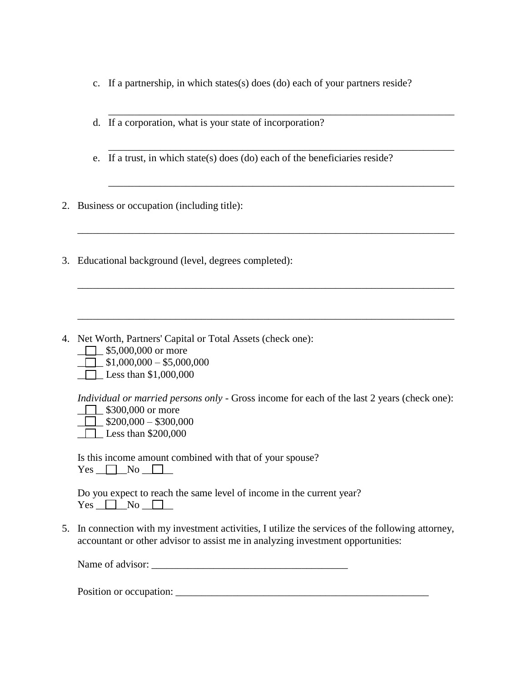c. If a partnership, in which states(s) does (do) each of your partners reside?

\_\_\_\_\_\_\_\_\_\_\_\_\_\_\_\_\_\_\_\_\_\_\_\_\_\_\_\_\_\_\_\_\_\_\_\_\_\_\_\_\_\_\_\_\_\_\_\_\_\_\_\_\_\_\_\_\_\_\_\_\_\_\_\_\_\_\_

\_\_\_\_\_\_\_\_\_\_\_\_\_\_\_\_\_\_\_\_\_\_\_\_\_\_\_\_\_\_\_\_\_\_\_\_\_\_\_\_\_\_\_\_\_\_\_\_\_\_\_\_\_\_\_\_\_\_\_\_\_\_\_\_\_\_\_

\_\_\_\_\_\_\_\_\_\_\_\_\_\_\_\_\_\_\_\_\_\_\_\_\_\_\_\_\_\_\_\_\_\_\_\_\_\_\_\_\_\_\_\_\_\_\_\_\_\_\_\_\_\_\_\_\_\_\_\_\_\_\_\_\_\_\_

- d. If a corporation, what is your state of incorporation?
- e. If a trust, in which state(s) does (do) each of the beneficiaries reside?
- 2. Business or occupation (including title):
- 3. Educational background (level, degrees completed):
- 4. Net Worth, Partners' Capital or Total Assets (check one):
	- $\Box$  \$5,000,000 or more
	- $\Box$  \$1,000,000 \$5,000,000
	- $\Box$  Less than \$1,000,000

*Individual or married persons only* - Gross income for each of the last 2 years (check one):

\_\_\_\_\_\_\_\_\_\_\_\_\_\_\_\_\_\_\_\_\_\_\_\_\_\_\_\_\_\_\_\_\_\_\_\_\_\_\_\_\_\_\_\_\_\_\_\_\_\_\_\_\_\_\_\_\_\_\_\_\_\_\_\_\_\_\_\_\_\_\_\_\_

\_\_\_\_\_\_\_\_\_\_\_\_\_\_\_\_\_\_\_\_\_\_\_\_\_\_\_\_\_\_\_\_\_\_\_\_\_\_\_\_\_\_\_\_\_\_\_\_\_\_\_\_\_\_\_\_\_\_\_\_\_\_\_\_\_\_\_\_\_\_\_\_\_

- **1** \$300,000 or more  $\Box$  \$200,000 – \$300,000
- $\Box$  Less than \$200,000

Is this income amount combined with that of your spouse?  $Yes \t No \t \t \t \t$ 

Do you expect to reach the same level of income in the current year?  $Yes \t No \t \t \t \t$ 

5. In connection with my investment activities, I utilize the services of the following attorney, accountant or other advisor to assist me in analyzing investment opportunities:

Name of advisor:

Position or occupation: \_\_\_\_\_\_\_\_\_\_\_\_\_\_\_\_\_\_\_\_\_\_\_\_\_\_\_\_\_\_\_\_\_\_\_\_\_\_\_\_\_\_\_\_\_\_\_\_\_